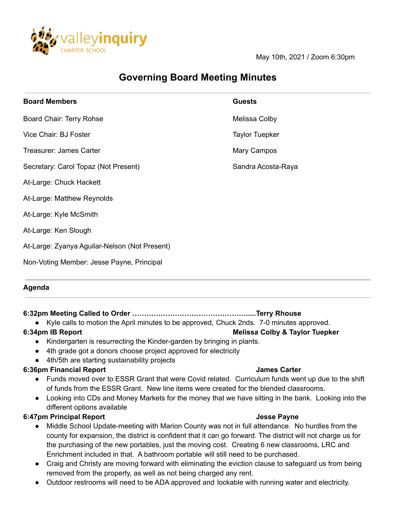

May 10th, 2021 / Zoom 6:30pm

# **Governing Board Meeting Minutes**

| <b>Board Members</b>                          | <b>Guests</b>         |
|-----------------------------------------------|-----------------------|
| Board Chair: Terry Rohse                      | Melissa Colby         |
| Vice Chair: BJ Foster                         | <b>Taylor Tuepker</b> |
| Treasurer: James Carter                       | Mary Campos           |
| Secretary: Carol Topaz (Not Present)          | Sandra Acosta-Raya    |
| At-Large: Chuck Hackett                       |                       |
| At-Large: Matthew Reynolds                    |                       |
| At-Large: Kyle McSmith                        |                       |
| At-Large: Ken Slough                          |                       |
| At-Large: Zyanya Aguilar-Nelson (Not Present) |                       |
| Non-Voting Member: Jesse Payne, Principal     |                       |
|                                               |                       |

#### **Agenda**

## **6:32pm Meeting Called to Order ………………………………………….....Terry Rhouse**

● Kyle calls to motion the April minutes to be approved, Chuck 2nds. 7-0 minutes approved.

## **6:34pm IB Report Melissa Colby & Taylor Tuepker**

- Kindergarten is resurrecting the Kinder-garden by bringing in plants.
- 4th grade got a donors choose project approved for electricity
- 4th/5th are starting sustainability projects

## **6:36pm Financial Report James Carter**

- Funds moved over to ESSR Grant that were Covid related. Curriculum funds went up due to the shift of funds from the ESSR Grant. New line items were created for the blended classrooms.
- Looking into CDs and Money Markets for the money that we have sitting in the bank. Looking into the different options available

## **6:47pm Principal Report Jesse Payne**

- Middle School Update-meeting with Marion County was not in full attendance. No hurdles from the county for expansion, the district is confident that it can go forward. The district will not charge us for the purchasing of the new portables, just the moving cost. Creating 6 new classrooms, LRC and Enrichment included in that. A bathroom portable will still need to be purchased.
- Craig and Christy are moving forward with eliminating the eviction clause to safeguard us from being removed from the property, as well as not being charged any rent.
- Outdoor restrooms will need to be ADA approved and lockable with running water and electricity.